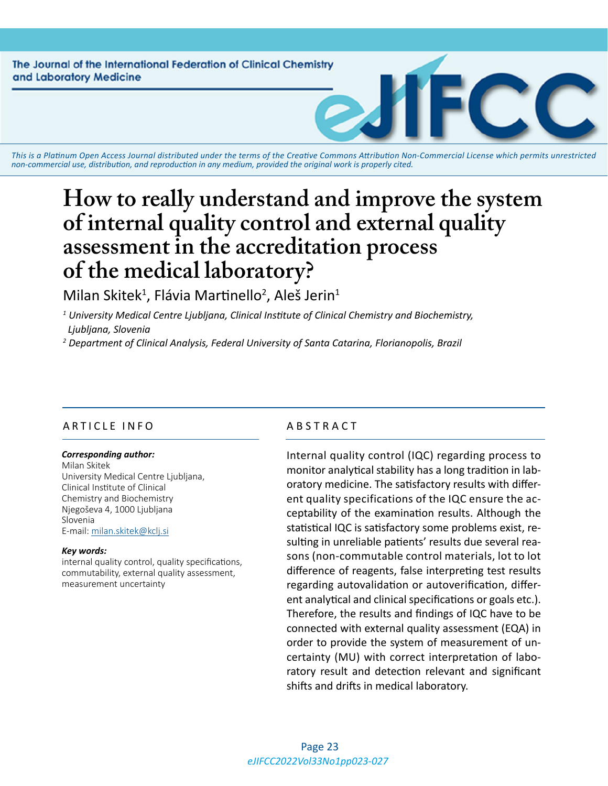The Journal of the International Federation of Clinical Chemistry and Laboratory Medicine

*This is a Platinum Open Access Journal distributed under the terms of the [Creative Commons Attribution Non-Commercial License](https://creativecommons.org/licenses/by-nc/4.0/) which permits unrestricted non-commercial use, distribution, and reproduction in any medium, provided the original work is properly cited.*

# **How to really understand and improve the system of internal quality control and external quality assessment in the accreditation process of the medical laboratory?**

Milan Skitek<sup>1</sup>, Flávia Martinello<sup>2</sup>, Aleš Jerin<sup>1</sup>

*1 University Medical Centre Ljubljana, Clinical Institute of Clinical Chemistry and Biochemistry, Ljubljana, Slovenia*

*2 Department of Clinical Analysis, Federal University of Santa Catarina, Florianopolis, Brazil*

#### ARTICLE INFO ABSTRACT

#### *Corresponding author:*

Milan Skitek University Medical Centre Ljubljana, Clinical Institute of Clinical Chemistry and Biochemistry Njegoševa 4, 1000 Ljubljana Slovenia E-mail: [milan.skitek@kclj.si](mailto:milan.skitek@kclj.si)

#### *Key words:*

internal quality control, quality specifications, commutability, external quality assessment, measurement uncertainty

Internal quality control (IQC) regarding process to monitor analytical stability has a long tradition in laboratory medicine. The satisfactory results with different quality specifications of the IQC ensure the acceptability of the examination results. Although the statistical IQC is satisfactory some problems exist, resulting in unreliable patients' results due several reasons (non-commutable control materials, lot to lot difference of reagents, false interpreting test results regarding autovalidation or autoverification, different analytical and clinical specifications or goals etc.). Therefore, the results and findings of IQC have to be connected with external quality assessment (EQA) in order to provide the system of measurement of uncertainty (MU) with correct interpretation of laboratory result and detection relevant and significant shifts and drifts in medical laboratory.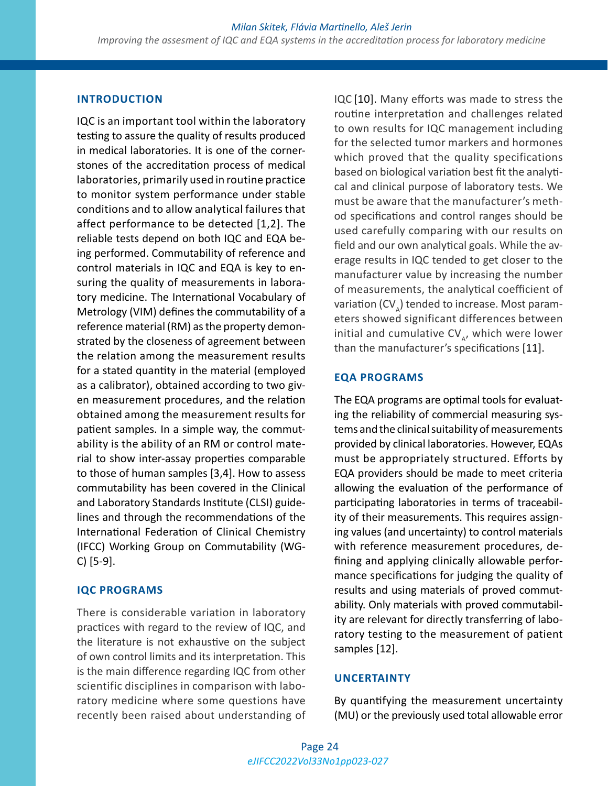#### **INTRODUCTION**

IQC is an important tool within the laboratory testing to assure the quality of results produced in medical laboratories. It is one of the cornerstones of the accreditation process of medical laboratories, primarily used in routine practice to monitor system performance under stable conditions and to allow analytical failures that affect performance to be detected [1,2]. The reliable tests depend on both IQC and EQA being performed. Commutability of reference and control materials in IQC and EQA is key to ensuring the quality of measurements in laboratory medicine. The International Vocabulary of Metrology (VIM) defines the commutability of a reference material (RM) as the property demonstrated by the closeness of agreement between the relation among the measurement results for a stated quantity in the material (employed as a calibrator), obtained according to two given measurement procedures, and the relation obtained among the measurement results for patient samples. In a simple way, the commutability is the ability of an RM or control material to show inter-assay properties comparable to those of human samples [3,4]. How to assess commutability has been covered in the Clinical and Laboratory Standards Institute (CLSI) guidelines and through the recommendations of the International Federation of Clinical Chemistry (IFCC) Working Group on Commutability (WG-C) [5-9].

## **IQC PROGRAMS**

There is considerable variation in laboratory practices with regard to the review of IQC, and the literature is not exhaustive on the subject of own control limits and its interpretation. This is the main difference regarding IQC from other scientific disciplines in comparison with laboratory medicine where some questions have recently been raised about understanding of IQC [10]. Many efforts was made to stress the routine interpretation and challenges related to own results for IQC management including for the selected tumor markers and hormones which proved that the quality specifications based on biological variation best fit the analytical and clinical purpose of laboratory tests. We must be aware that the manufacturer's method specifications and control ranges should be used carefully comparing with our results on field and our own analytical goals. While the average results in IQC tended to get closer to the manufacturer value by increasing the number of measurements, the analytical coefficient of variation (CV $_{\circ}$ ) tended to increase. Most parameters showed significant differences between initial and cumulative  $CV_{A}$ , which were lower than the manufacturer's specifications [11].

## **EQA PROGRAMS**

The EQA programs are optimal tools for evaluating the reliability of commercial measuring systems and the clinical suitability of measurements provided by clinical laboratories. However, EQAs must be appropriately structured. Efforts by EQA providers should be made to meet criteria allowing the evaluation of the performance of participating laboratories in terms of traceability of their measurements. This requires assigning values (and uncertainty) to control materials with reference measurement procedures, defining and applying clinically allowable performance specifications for judging the quality of results and using materials of proved commutability. Only materials with proved commutability are relevant for directly transferring of laboratory testing to the measurement of patient samples [12].

#### **UNCERTAINTY**

By quantifying the measurement uncertainty (MU) or the previously used total allowable error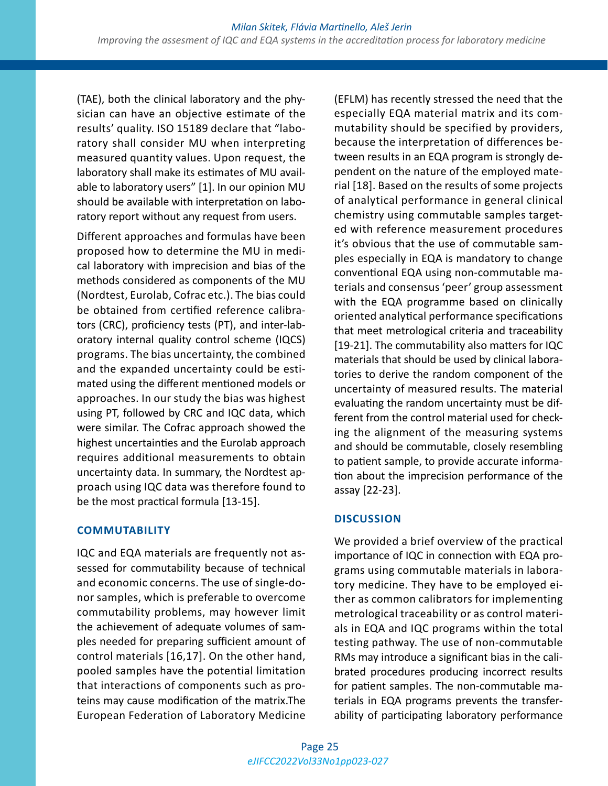(TAE), both the clinical laboratory and the physician can have an objective estimate of the results' quality. ISO 15189 declare that "laboratory shall consider MU when interpreting measured quantity values. Upon request, the laboratory shall make its estimates of MU available to laboratory users" [1]. In our opinion MU should be available with interpretation on laboratory report without any request from users.

Different approaches and formulas have been proposed how to determine the MU in medical laboratory with imprecision and bias of the methods considered as components of the MU (Nordtest, Eurolab, Cofrac etc.). The bias could be obtained from certified reference calibrators (CRC), proficiency tests (PT), and inter-laboratory internal quality control scheme (IQCS) programs. The bias uncertainty, the combined and the expanded uncertainty could be estimated using the different mentioned models or approaches. In our study the bias was highest using PT, followed by CRC and IQC data, which were similar. The Cofrac approach showed the highest uncertainties and the Eurolab approach requires additional measurements to obtain uncertainty data. In summary, the Nordtest approach using IQC data was therefore found to be the most practical formula [13-15].

#### **COMMUTABILITY**

IQC and EQA materials are frequently not assessed for commutability because of technical and economic concerns. The use of single-donor samples, which is preferable to overcome commutability problems, may however limit the achievement of adequate volumes of samples needed for preparing sufficient amount of control materials [16,17]. On the other hand, pooled samples have the potential limitation that interactions of components such as proteins may cause modification of the matrix.The European Federation of Laboratory Medicine

(EFLM) has recently stressed the need that the especially EQA material matrix and its commutability should be specified by providers, because the interpretation of differences between results in an EQA program is strongly dependent on the nature of the employed material [18]. Based on the results of some projects of analytical performance in general clinical chemistry using commutable samples targeted with reference measurement procedures it's obvious that the use of commutable samples especially in EQA is mandatory to change conventional EQA using non-commutable materials and consensus 'peer' group assessment with the EQA programme based on clinically oriented analytical performance specifications that meet metrological criteria and traceability [19-21]. The commutability also matters for IQC materials that should be used by clinical laboratories to derive the random component of the uncertainty of measured results. The material evaluating the random uncertainty must be different from the control material used for checking the alignment of the measuring systems and should be commutable, closely resembling to patient sample, to provide accurate information about the imprecision performance of the assay [22-23].

# **DISCUSSION**

We provided a brief overview of the practical importance of IQC in connection with EQA programs using commutable materials in laboratory medicine. They have to be employed either as common calibrators for implementing metrological traceability or as control materials in EQA and IQC programs within the total testing pathway. The use of non-commutable RMs may introduce a significant bias in the calibrated procedures producing incorrect results for patient samples. The non-commutable materials in EQA programs prevents the transferability of participating laboratory performance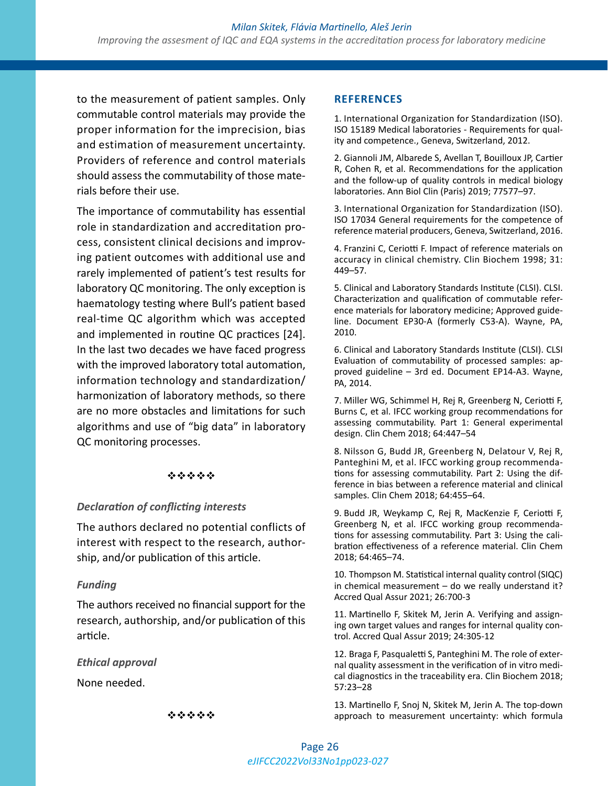to the measurement of patient samples. Only commutable control materials may provide the proper information for the imprecision, bias and estimation of measurement uncertainty. Providers of reference and control materials should assess the commutability of those materials before their use.

The importance of commutability has essential role in standardization and accreditation process, consistent clinical decisions and improving patient outcomes with additional use and rarely implemented of patient's test results for laboratory QC monitoring. The only exception is haematology testing where Bull's patient based real-time QC algorithm which was accepted and implemented in routine QC practices [24]. In the last two decades we have faced progress with the improved laboratory total automation, information technology and standardization/ harmonization of laboratory methods, so there are no more obstacles and limitations for such algorithms and use of "big data" in laboratory QC monitoring processes.

#### \*\*\*\*\*

#### *Declaration of conflicting interests*

The authors declared no potential conflicts of interest with respect to the research, authorship, and/or publication of this article.

#### *Funding*

The authors received no financial support for the research, authorship, and/or publication of this article.

#### *Ethical approval*

None needed.

#### **REFERENCES**

1. International Organization for Standardization (ISO). ISO 15189 Medical laboratories - Requirements for quality and competence., Geneva, Switzerland, 2012.

2. Giannoli JM, Albarede S, Avellan T, Bouilloux JP, Cartier R, Cohen R, et al. Recommendations for the application and the follow-up of quality controls in medical biology laboratories. Ann Biol Clin (Paris) 2019; 77577–97.

3. International Organization for Standardization (ISO). ISO 17034 General requirements for the competence of reference material producers, Geneva, Switzerland, 2016.

4. Franzini C, Ceriotti F. Impact of reference materials on accuracy in clinical chemistry. Clin Biochem 1998; 31: 449–57.

5. Clinical and Laboratory Standards Institute (CLSI). CLSI. Characterization and qualification of commutable reference materials for laboratory medicine; Approved guideline. Document EP30-A (formerly C53-A). Wayne, PA, 2010.

6. Clinical and Laboratory Standards Institute (CLSI). CLSI Evaluation of commutability of processed samples: approved guideline – 3rd ed. Document EP14-A3. Wayne, PA, 2014.

7. Miller WG, Schimmel H, Rej R, Greenberg N, Ceriotti F, Burns C, et al. IFCC working group recommendations for assessing commutability. Part 1: General experimental design. Clin Chem 2018; 64:447–54

8. Nilsson G, Budd JR, Greenberg N, Delatour V, Rej R, Panteghini M, et al. IFCC working group recommendations for assessing commutability. Part 2: Using the difference in bias between a reference material and clinical samples. Clin Chem 2018; 64:455–64.

9. Budd JR, Weykamp C, Rej R, MacKenzie F, Ceriotti F, Greenberg N, et al. IFCC working group recommendations for assessing commutability. Part 3: Using the calibration effectiveness of a reference material. Clin Chem 2018; 64:465–74.

10. Thompson M. Statistical internal quality control (SIQC) in chemical measurement – do we really understand it? Accred Qual Assur 2021; 26:700-3

11. Martinello F, Skitek M, Jerin A. Verifying and assigning own target values and ranges for internal quality control. Accred Qual Assur 2019; 24:305-12

12. Braga F, Pasqualetti S, Panteghini M. The role of external quality assessment in the verification of in vitro medical diagnostics in the traceability era. Clin Biochem 2018; 57:23–28

13. Martinello F, Snoj N, Skitek M, Jerin A. The top-down approach to measurement uncertainty: which formula